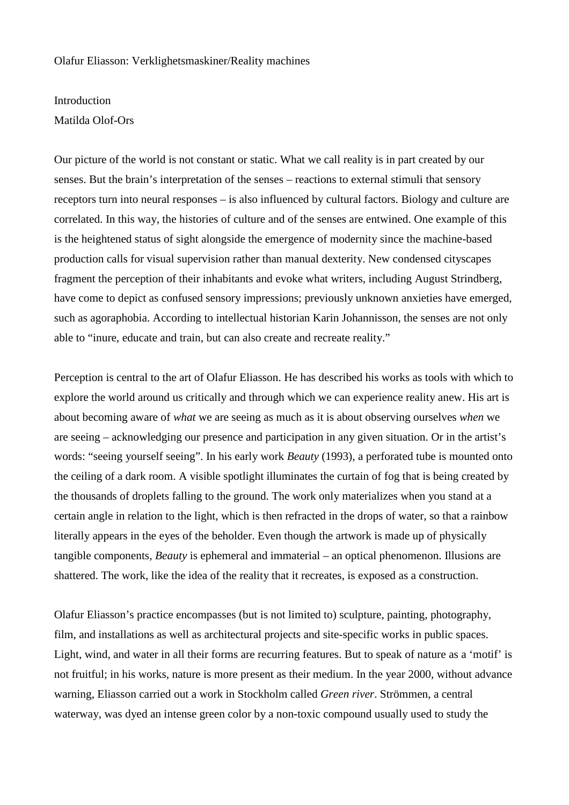## Olafur Eliasson: Verklighetsmaskiner/Reality machines

## Introduction

## Matilda Olof-Ors

Our picture of the world is not constant or static. What we call reality is in part created by our senses. But the brain's interpretation of the senses – reactions to external stimuli that sensory receptors turn into neural responses – is also influenced by cultural factors. Biology and culture are correlated. In this way, the histories of culture and of the senses are entwined. One example of this is the heightened status of sight alongside the emergence of modernity since the machine-based production calls for visual supervision rather than manual dexterity. New condensed cityscapes fragment the perception of their inhabitants and evoke what writers, including August Strindberg, have come to depict as confused sensory impressions; previously unknown anxieties have emerged, such as agoraphobia. According to intellectual historian Karin Johannisson, the senses are not only able to "inure, educate and train, but can also create and recreate reality."

Perception is central to the art of Olafur Eliasson. He has described his works as tools with which to explore the world around us critically and through which we can experience reality anew. His art is about becoming aware of *what* we are seeing as much as it is about observing ourselves *when* we are seeing – acknowledging our presence and participation in any given situation. Or in the artist's words: "seeing yourself seeing". In his early work *Beauty* (1993), a perforated tube is mounted onto the ceiling of a dark room. A visible spotlight illuminates the curtain of fog that is being created by the thousands of droplets falling to the ground. The work only materializes when you stand at a certain angle in relation to the light, which is then refracted in the drops of water, so that a rainbow literally appears in the eyes of the beholder. Even though the artwork is made up of physically tangible components, *Beauty* is ephemeral and immaterial – an optical phenomenon. Illusions are shattered. The work, like the idea of the reality that it recreates, is exposed as a construction.

Olafur Eliasson's practice encompasses (but is not limited to) sculpture, painting, photography, film, and installations as well as architectural projects and site-specific works in public spaces. Light, wind, and water in all their forms are recurring features. But to speak of nature as a 'motif' is not fruitful; in his works, nature is more present as their medium. In the year 2000, without advance warning, Eliasson carried out a work in Stockholm called *Green river*. Strömmen, a central waterway, was dyed an intense green color by a non-toxic compound usually used to study the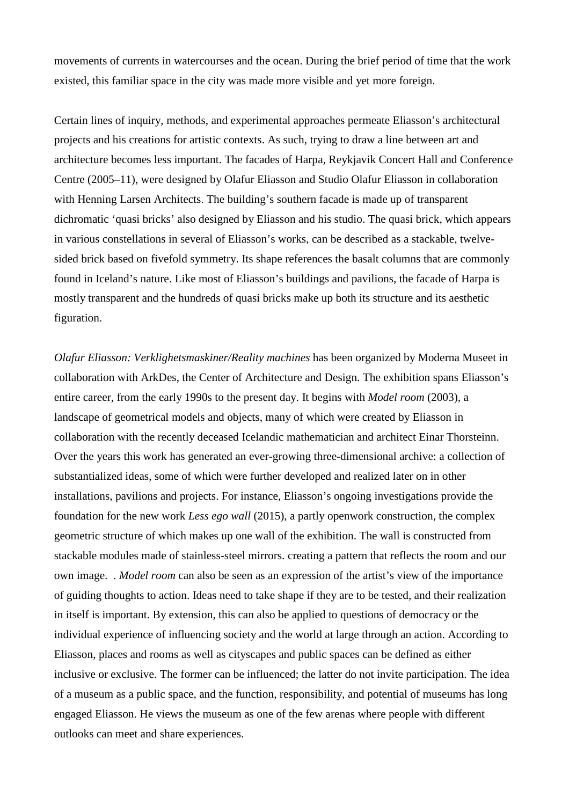movements of currents in watercourses and the ocean. During the brief period of time that the work existed, this familiar space in the city was made more visible and yet more foreign.

Certain lines of inquiry, methods, and experimental approaches permeate Eliasson's architectural projects and his creations for artistic contexts. As such, trying to draw a line between art and architecture becomes less important. The facades of Harpa, Reykjavik Concert Hall and Conference Centre (2005–11), were designed by Olafur Eliasson and Studio Olafur Eliasson in collaboration with Henning Larsen Architects. The building's southern facade is made up of transparent dichromatic 'quasi bricks' also designed by Eliasson and his studio. The quasi brick, which appears in various constellations in several of Eliasson's works, can be described as a stackable, twelvesided brick based on fivefold symmetry. Its shape references the basalt columns that are commonly found in Iceland's nature. Like most of Eliasson's buildings and pavilions, the facade of Harpa is mostly transparent and the hundreds of quasi bricks make up both its structure and its aesthetic figuration.

*Olafur Eliasson: Verklighetsmaskiner/Reality machines* has been organized by Moderna Museet in collaboration with ArkDes, the Center of Architecture and Design. The exhibition spans Eliasson's entire career, from the early 1990s to the present day. It begins with *Model room* (2003), a landscape of geometrical models and objects, many of which were created by Eliasson in collaboration with the recently deceased Icelandic mathematician and architect Einar Thorsteinn. Over the years this work has generated an ever-growing three-dimensional archive: a collection of substantialized ideas, some of which were further developed and realized later on in other installations, pavilions and projects. For instance, Eliasson's ongoing investigations provide the foundation for the new work *Less ego wall* (2015), a partly openwork construction, the complex geometric structure of which makes up one wall of the exhibition. The wall is constructed from stackable modules made of stainless-steel mirrors. creating a pattern that reflects the room and our own image. . *Model room* can also be seen as an expression of the artist's view of the importance of guiding thoughts to action. Ideas need to take shape if they are to be tested, and their realization in itself is important. By extension, this can also be applied to questions of democracy or the individual experience of influencing society and the world at large through an action. According to Eliasson, places and rooms as well as cityscapes and public spaces can be defined as either inclusive or exclusive. The former can be influenced; the latter do not invite participation. The idea of a museum as a public space, and the function, responsibility, and potential of museums has long engaged Eliasson. He views the museum as one of the few arenas where people with different outlooks can meet and share experiences.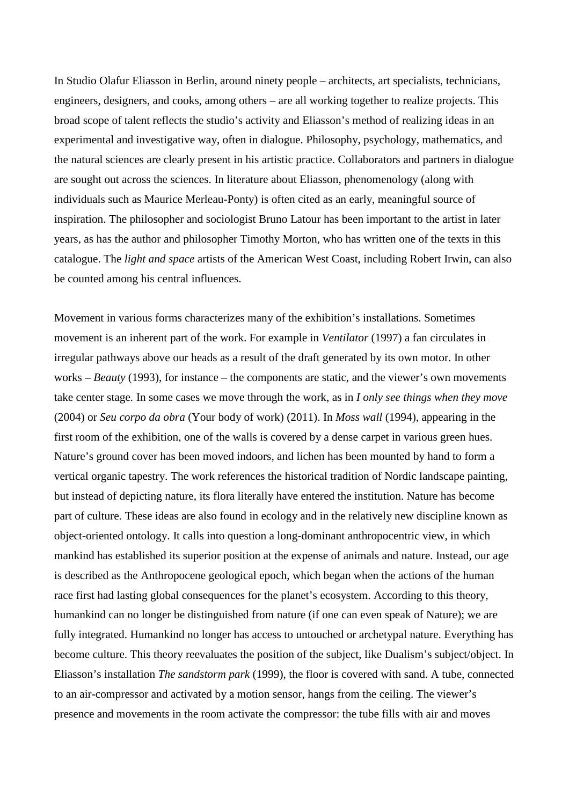In Studio Olafur Eliasson in Berlin, around ninety people – architects, art specialists, technicians, engineers, designers, and cooks, among others – are all working together to realize projects. This broad scope of talent reflects the studio's activity and Eliasson's method of realizing ideas in an experimental and investigative way, often in dialogue. Philosophy, psychology, mathematics, and the natural sciences are clearly present in his artistic practice. Collaborators and partners in dialogue are sought out across the sciences. In literature about Eliasson, phenomenology (along with individuals such as Maurice Merleau-Ponty) is often cited as an early, meaningful source of inspiration. The philosopher and sociologist Bruno Latour has been important to the artist in later years, as has the author and philosopher Timothy Morton, who has written one of the texts in this catalogue. The *light and space* artists of the American West Coast, including Robert Irwin, can also be counted among his central influences.

Movement in various forms characterizes many of the exhibition's installations. Sometimes movement is an inherent part of the work. For example in *Ventilator* (1997) a fan circulates in irregular pathways above our heads as a result of the draft generated by its own motor. In other works – *Beauty* (1993), for instance – the components are static, and the viewer's own movements take center stage*.* In some cases we move through the work, as in *I only see things when they move*  (2004) or *Seu corpo da obra* (Your body of work) (2011). In *Moss wall* (1994), appearing in the first room of the exhibition, one of the walls is covered by a dense carpet in various green hues. Nature's ground cover has been moved indoors, and lichen has been mounted by hand to form a vertical organic tapestry. The work references the historical tradition of Nordic landscape painting, but instead of depicting nature, its flora literally have entered the institution. Nature has become part of culture. These ideas are also found in ecology and in the relatively new discipline known as object-oriented ontology. It calls into question a long-dominant anthropocentric view, in which mankind has established its superior position at the expense of animals and nature. Instead, our age is described as the Anthropocene geological epoch, which began when the actions of the human race first had lasting global consequences for the planet's ecosystem. According to this theory, humankind can no longer be distinguished from nature (if one can even speak of Nature); we are fully integrated. Humankind no longer has access to untouched or archetypal nature. Everything has become culture. This theory reevaluates the position of the subject, like Dualism's subject/object. In Eliasson's installation *The sandstorm park* (1999), the floor is covered with sand. A tube, connected to an air-compressor and activated by a motion sensor, hangs from the ceiling. The viewer's presence and movements in the room activate the compressor: the tube fills with air and moves